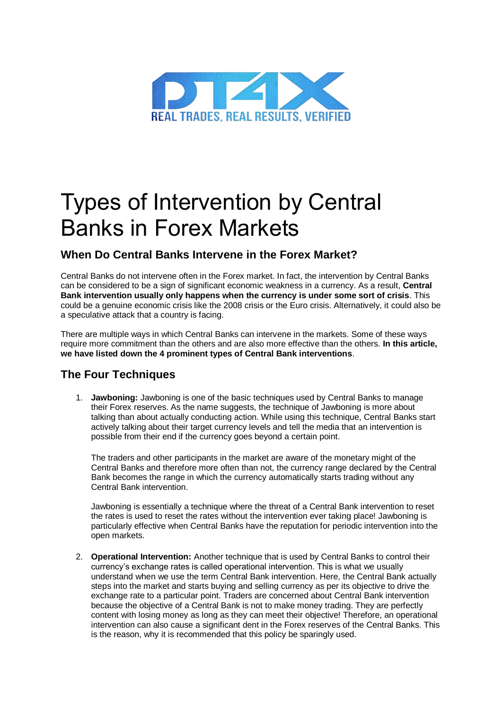

## Types of Intervention by Central Banks in Forex Markets

## **When Do Central Banks Intervene in the Forex Market?**

Central Banks do not intervene often in the Forex market. In fact, the intervention by Central Banks can be considered to be a sign of significant economic weakness in a currency. As a result, **Central Bank intervention usually only happens when the currency is under some sort of crisis**. This could be a genuine economic crisis like the 2008 crisis or the Euro crisis. Alternatively, it could also be a speculative attack that a country is facing.

There are multiple ways in which Central Banks can intervene in the markets. Some of these ways require more commitment than the others and are also more effective than the others. **In this article, we have listed down the 4 prominent types of Central Bank interventions**.

## **The Four Techniques**

1. **Jawboning:** Jawboning is one of the basic techniques used by Central Banks to manage their Forex reserves. As the name suggests, the technique of Jawboning is more about talking than about actually conducting action. While using this technique, Central Banks start actively talking about their target currency levels and tell the media that an intervention is possible from their end if the currency goes beyond a certain point.

The traders and other participants in the market are aware of the monetary might of the Central Banks and therefore more often than not, the currency range declared by the Central Bank becomes the range in which the currency automatically starts trading without any Central Bank intervention.

Jawboning is essentially a technique where the threat of a Central Bank intervention to reset the rates is used to reset the rates without the intervention ever taking place! Jawboning is particularly effective when Central Banks have the reputation for periodic intervention into the open markets.

2. **Operational Intervention:** Another technique that is used by Central Banks to control their currency's exchange rates is called operational intervention. This is what we usually understand when we use the term Central Bank intervention. Here, the Central Bank actually steps into the market and starts buying and selling currency as per its objective to drive the exchange rate to a particular point. Traders are concerned about Central Bank intervention because the objective of a Central Bank is not to make money trading. They are perfectly content with losing money as long as they can meet their objective! Therefore, an operational intervention can also cause a significant dent in the Forex reserves of the Central Banks. This is the reason, why it is recommended that this policy be sparingly used.